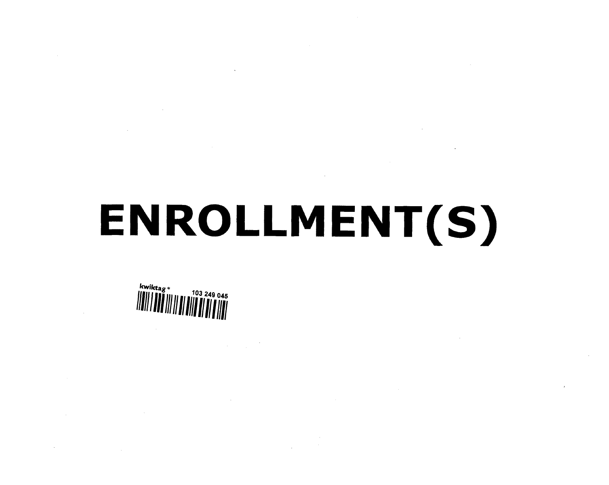# ENROLLMENT(S)

kwiktag »<br>IIIII I 112 103 249 045

 $\sim$ 

 $\sim 0.1$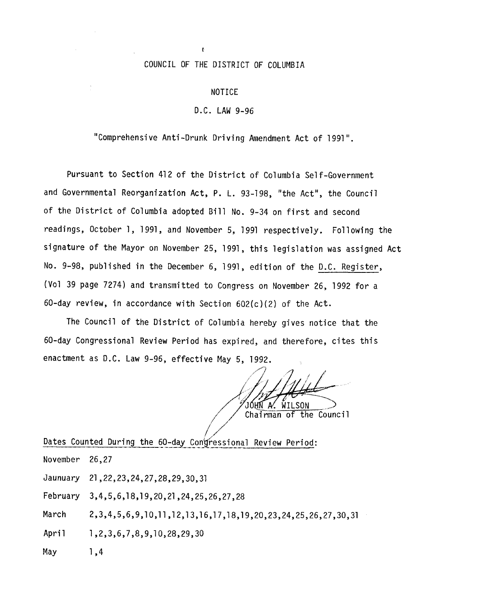## COUNCIL OF THE DISTRICT OF COLUMBIA

 $\mathfrak{g}$ 

#### NOTICE

### **D.C.** LAW 9-96

"Comprehensive Anti-Drunk Driving Amendment Act of 1991".

Pursuant to Section 412 of the District of Columbia Self-Government and Governmental Reorganization Act, P. L. 93-198, "the Act", the Council of the District of Columbia adopted Bill No. 9-34 on first and second readings, October I, 1991, and November 5, 1991 respectively. Following the signature of the Mayor on November 25, 1991, this legislation was assigned Act No. 9-98, published in the December 6, 1991, edition of the D.C. Register, (Vol 39 page 7274) and transmitted to Congress on November 26, 1992 for a 60-day review, in accordance with Section 602(c)(2) of the Act.

The Council of the District of Columbia hereby gives notice that the 60-day Congressional Review Period has expired, and therefore, cites this enactment as D.C. Law 9-96, effective May 5, 1992.

..... */Z,//* JÓHN A' WILSON Chairman of the Council

Dates Counted During the 60-day Congressional Review Period:

November 26,27 Jaunuary 21,22,23,24,27,28,29,30,31 February 3,4,5,6,1 8,1 9,20,21,24,25,26,27,28

March 2,3,4,5,6,9,10,II,12,13,16,17,18,19,20,23,24,25,26,27,30,31

April 1,2,3,6,7,8,9,10,28,29,30

May 1,4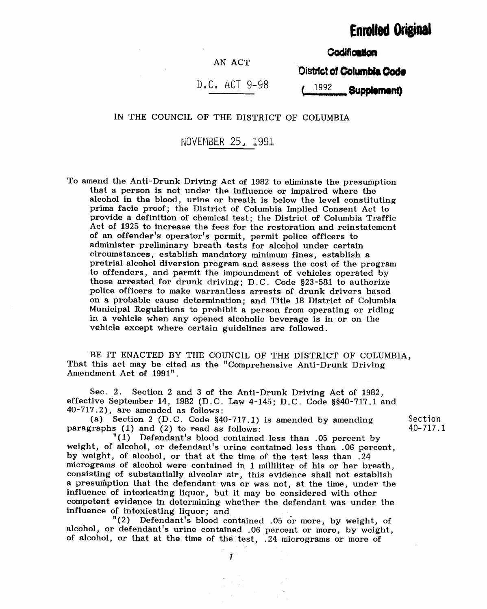# **Enrolled Original**

**Codification** 

## AN ACT

District of Columbia Code

## D,C, ACT 9-98

1992 Supplement)

IN THE COUNCIL OF THE DISTRICT OF COLUMBIA

OVEMBER 25, 1991

To amend the Anti-Drunk Driving Act of 1982 to eliminate the presumption that a person is not under the influence or impaired where the alcohol in the blood, urine or breath is below the level constituting prima facie proof; the District of Columbia Implied Consent Act to provide a definition of chemical test; the District of Columbia Traffic Act of 1925 to increase the fees for the restoration and reinstatement of an offender's operator's permit, permit police officers to administer preliminary breath tests for alcohol under certain circumstances, establish mandatory minimum fines, establish a pretrial alcohol diversion program and assess the cost of the program to offenders, and permit the impoundment of vehicles operated by those arrested for drunk driving; D.C. Code §23-581 to authorize police officers to make warrantless arrests of drunk drivers based on a probable cause determination; and Title 18 District of Columbia Municipal Regulations to prohibit a person from operating or riding in a vehicle when any opened alcoholic beverage is in or on the vehicle except where certain guidelines are followed.

BE IT ENACTED BY THE COUNCIL OF THE DISTRICT OF COLUMBIA, That this act may be cited as the "Comprehensive Anti-Drunk Driving Amendment Act of 1991".

Sec. 2. Section 2 and 3 of the Anti-Drunk Driving Act of 1982, effective September 14, 1982 (D.C. Law 4-145; D.C. Code §§40-717.1 and 40-717.2), are amended as follows:

(a) Section 2 (D.C. Code §40-717.1) is amended by amending paragraphs (1) and (2) to read as follows:

Section 40-717.1

"(1) Defendant's blood contained less than .05 percent by weight, of alcohol, or defendant's urine contained less than .06 percent, by weight, of alcohol, or that at the time of the test less than .24 micrograms of alcohol were contained in 1 milliliter of his or her breath, consisting of substantially alveolar air, this evidence shall not establish a presumption that the defendant was or was not, at the time, under the influence of intoxicating liquor, but it may be considered with other competent evidence in determining whether the defendant was under the influence of intoxicating liquor; and

"(2) Defendant's blood contained .05 or more, by weight, of alcohol, or defendant's urine contained .06 percent or more, by weight, of alcohol, or that at the time of the test, .24 micrograms or more of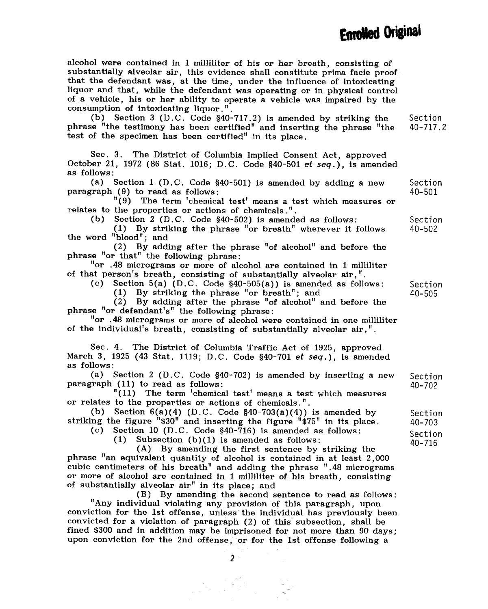alcohol were contained in 1 milliliter of his or her breath, consisting of substantially alveolar air, this evidence shall constitute prima facie proof. that the defendant was, at the time, under the influence of intoxicating liquor and that, while the defendant was operating or in physical control of a vehicle, his or her ability to operate a vehicle was impaired by the consumption of intoxicating liquor."

(b) Section 3 (D.C. Code §40-717.2) is amended by striking the phrase "the testimony has been certified" and inserting the phrase "the test of the specimen has been certified" in its place. Section 40-717.2

Sec. 3. The District of Columbia Implied Consent Act, approved October 21, 1972 (86 Stat. 1016; D.C. Code {}40-501 et *seq.),* is amended as follows :

(a) Section 1 (D.C. Code §40-501) is amended by adding a new paragraph (9) to read as follows: Section 40-501

"(9) The term 'chemical test' means a test which measures or relates to the properties or actions of chemicals."

(b) Section 2 (D.C. Code §40-502) is amended as follows:

(1) By striking the phrase "or breath" wherever it follows the word "blood"; and 40-502

(2) By adding after the phrase "of alcohol" and before the phrase "or that" the following phrase:

"or .48 micrograms or more of alcohol are contained in 1 milliliter of that person's breath, consisting of substantially alveolar air,"

(c) Section 5(a) (D.C. Code §40-505(a)) is amended as follows:

(1) By striking the phrase "or breath"; and

(2) By adding after the phrase "of alcohol" and before the phrase "or defendant's" the following phrase:

"or .48 micrograms or more of alcohol were contained in one milliliter of the individual's breath, consisting of substantially alveolar air,"

See. 4. The District of Columbia Traffic Act of 1925, approved March 3, 1925 (43 Stat. 1119; D.C. Code §40-701 *et seq.*), is amended as follows :

(a) Section 2 (D.C. Code §40-702) is amended by inserting a new paragraph (11) to read as follows: Section 40-702

"(11) The term 'chemical test' means a test which measures or relates to the properties or actions of chemicals."

(b) Section  $6(a)(4)$  (D.C. Code  $$40-703(a)(4)$ ) is amended by striking the figure "\$30" and inserting the figure "\$75" in its place.

(c) Section 10 (D.C. Code  $$40-716$ ) is amended as follows:<br>(1) Subsection (b)(1) is amended as follows:

Subsection  $(b)(1)$  is amended as follows:

(A) By amending the first sentence by striking the phrase "an equivalent quantity of alcohol is contained in at least 2,000 cubic centimeters of his breath" and adding the phrase ".48 micrograms or more of alcohol are contained in 1 milliliter of his breath, consisting of substantially alveolar air" in its place; and

(B) By amending the second sentence to read as follows: "Any individual violating any provision of this paragraph, upon conviction for the 1st offense, unless the individual has previously been convicted for a violation of paragraph (2) of this subsection, shall be fined \$300 and in addition may be imprisoned for not more than 90 days; upon conviction for the 2nd offense, or for the 1st offense following a

Section

Section 40-505

Section 40-703

Section 40-716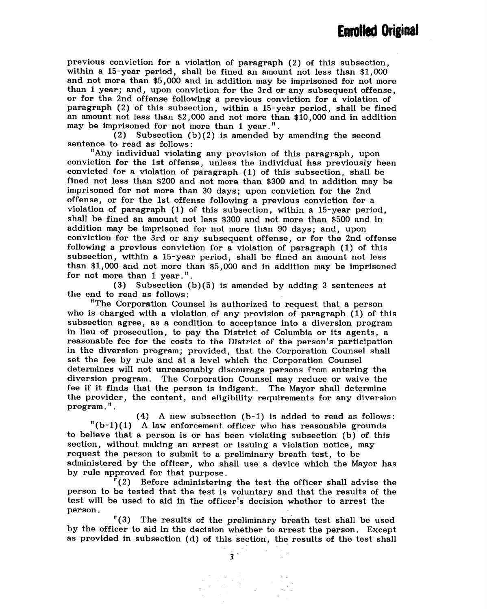previous conviction for a violation of paragraph (2) of this subsection, within a 15-year period, shall be fined an amount not less than \$1,000 and not more than \$5,000 and in addition may be imprisoned for not more than 1 year; and, upon conviction for the 3rd or any subsequent offense, or for the 2nd offense following a previous conviction for a violation of paragraph (2) of this subsection, within a 15-year period, shall be fined an amount not less than \$2,000 and not more than \$10,000 and in addition may be imprisoned for not more than 1 year.".<br>(2) Subsection (b)(2) is amended by

Subsection  $(b)(2)$  is amended by amending the second sentence to read as follows:

"Any individual violating any provision of this paragraph, upon conviction for the 1st offense, unless the individual has previously been convicted for a violation of paragraph (1) of this subsection, shall be fined not less than \$200 and not more than \$300 and in addition may be imprisoned for not more than 30 days; upon conviction for the 2nd offense, or for the 1st offense following a previous conviction for a violation of paragraph (1) of this subsection, within a 15-year period, shall be fined an amount not less \$300 and not more than \$500 and in addition may be imprisoned for not more than 90 days; and, upon conviction for the 3rd or any subsequent offense, or for the 2nd offense following a previous conviction for a violation of paragraph (1) of this subsection, within a 15-year period, shall be fined an amount not less than \$1,000 and not more than \$5,000 and in addition may be imprisoned for not more than 1 year.".

(3) Subsection (b)(5) is amended by adding 3 sentences at the end to read as follows:

"The Corporation Counsel is authorized to request that a person who is charged with a violation of any provision of paragraph (1) of this subsection agree, as a condition to acceptance into a diversion program in lieu of prosecution, to pay the District of Columbia or its agents, a reasonable fee for the costs to the District of the person's participation in the diversion program; provided, that the Corporation Counsel shall set the fee by rule and at a level which the Corporation Counsel determines will not unreasonably discourage persons from entering the diversion program. The Corporation Counsel may reduce or waive the fee if it finds that the person is indigent. The Mayor shall determine the provider, the content, and eligibility requirements for any diversion program."

(4) A new subsection (b-l) is added to read as follows:  $"(b-1)(1)$  A law enforcement officer who has reasonable grounds to believe that a person is or has been violating subsection (b) of this section, without making an arrest or issuing a violation notice, may request the person to submit to a preliminary breath test, to be administered by the officer, who shall use a device which the Mayor has by rule approved for that purpose.

"(2) Before administering the test the officer shall advise the person to be tested that the test is voluntary and that the results of the test will be used to aid in the officer's decision whether to arrest the person.

"(3) The results of the preliminary breath test shall be used by the officer to aid in the decision whether to arrest the person. Except as provided in subsection (d) of this Section, the results of the test shall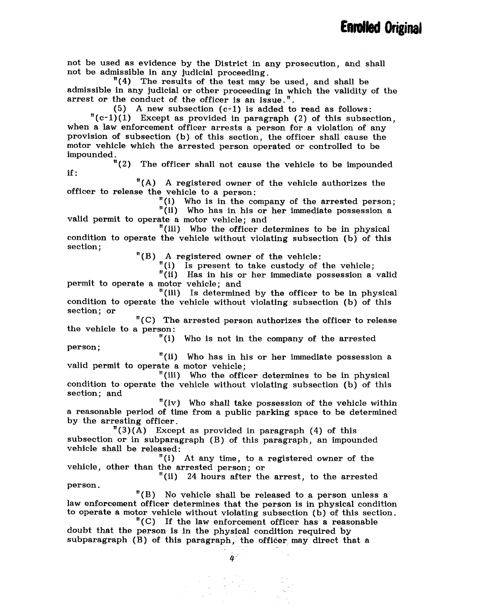not be used as evidence by the District in any prosecution, and shall not be admissible in any judicial proceeding.

"(4) The results of the test may be used, and shall be admissible in any judicial or other proceeding In which the validity of the arrest or the conduct of the officer is an issue.".

(5) A new subsection (c-l) is added to read as follows:

 $"({\rm c-1})(1)$  Except as provided in paragraph (2) of this subsection, when a law enforcement officer arrests a person for a violation of any provision of subsection (b) of this section, the officer shall cause the motor vehicle which the arrested person operated or controlled to be impounded.<br> $"(2)$ 

The officer shall not cause the vehicle to be impounded if :

"(A) A registered owner of the vehicle authorizes the officer to release the vehicle to a person:

"(i) Who is in the company of the arrested person;

"(ii) Who has in his or her immediate possession a valid permit to operate a motor vehicle; and

"(iii) Who the officer *determines* to be in physical condition to operate the vehicle without violating subsection (b) of this section;

"(B) A registered owner of the vehicle:

(i) Is present to take custody of the vehicle;

"(ii) Has in his or her immediate possession a valid permit to operate a motor vehicle; and

"(iii) Is determined by the officer to be in physical condition to operate the vehicle without violating subsection (b) of this section; or

"(C) The arrested person authorizes the officer to release the vehicle to a person:

"(i) Who is not in the company of the arrested person;

"(ii) Who has in his or her immediate possession a valid permit to operate a motor vehicle;

"(iii) Who the officer determines to be in physical condition to operate the vehicle without violating subsection (b) of this section; and

"(iv) Who shall take possession of the vehicle within a reasonable period of time from a public parking space to be determined by the arresting officer.

 $"(3)(A)$  Except as provided in paragraph (4) of this subsection or in subparagraph (B) of this paragraph, an impounded vehicle shall be released:

"(i) At any time, to a registered owner of the vehicle, other than the arrested person; or

"(ii) 24 hours after the arrest, to the arrested person.

"(B) No vehicle shall be released to a person unless a law enforcement officer determines that the person is in physical condition to operate a motor vehicle without violating subsection (b) of this section.

"(C) If the law enforcement officer has a reasonable doubt that the person is in the physical condition required by  $subparagraph$  (B) of this paragraph, the officer may direct that a

 $\overline{a}$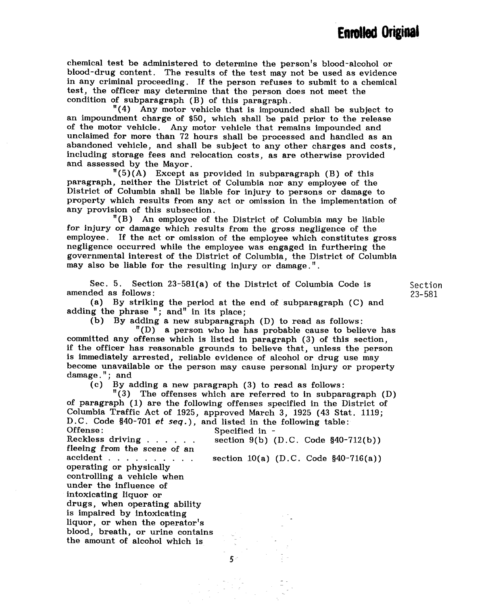chemical test be administered to determine the person's blood-alcohol or blood-drug content. The results of the test may not be used as evidence in any criminal proceeding. If the person refuses to submit to a chemical test, the officer may determine that the person does not meet the condition of subparagraph (B) of this paragraph.

"(4) Any motor vehicle that is impounded shall be subject to an impoundment charge of \$50, which shall be paid prior to the release of the motor vehicle. Any motor vehicle that remains impounded and unclaimed for more than 72 hours shall be processed and handled as an abandoned vehicle, and shall be subject to any other charges and costs, including storage fees and relocation costs, as are otherwise provided and assessed by the Mayor.

 $^{\prime\prime}(5)(A)$  Except as provided in subparagraph (B) of this paragraph, neither the District of Columbia nor any employee of the District of Columbia shall be liable for injury to persons or damage to property which results from any act or omission in the implementation of any provision of this subsection.

"(B) An employee of the District of Columbia may be liable for injury or damage which results from the gross negligence of the employee. If the act or omission of the employee which constitutes gross negligence occurred while the employee was engaged in furthering the governmental interest of the District of Columbia, the District of Columbia may also be liable for the resulting injury or damage."

Sec. 5. Section 23-581(a) of the District of Columbia Code is amended as follows:

(a) By striking the period at the end of subparagraph (C) and adding the phrase "; and" in its place;

Section 23-581

(b) By adding a new subparagraph (D) to read as follows:

"(D) a person who he has probable cause to believe has committed any offense which is listed in paragraph (3) of this section, if the officer has reasonable grounds to believe that, unless the person is immediately arrested, reliable evidence of alcohol or drug use may become unavailable or the person may cause personal injury or property damage."; and

(c) By adding a new paragraph (3) to read as follows:

"(3) The offenses which are referred to in subparagraph (D) of paragraph (1) are the following offenses specified in the District of Columbia Traffic Act of 1925, approved March 3, 1925 (43 Stat. 1119; D.C. Code §40-701 *et seq.*), and listed in the following table:<br>Offense: Specified in -Offense: Specified in section  $9(b)$  (D.C. Code  $$40-712(b))$ )

fleeing from the scene of an accident . . . . . . . . . . operating or physically controlling a vehicle when under the influence of intoxicating liquor or drugs, when operating ability is impaired by intoxicating liquor, or when the operator's blood, breath, or urine contains the amount of alcohol which is

section 10(a) (D.C. Code §40-716(a))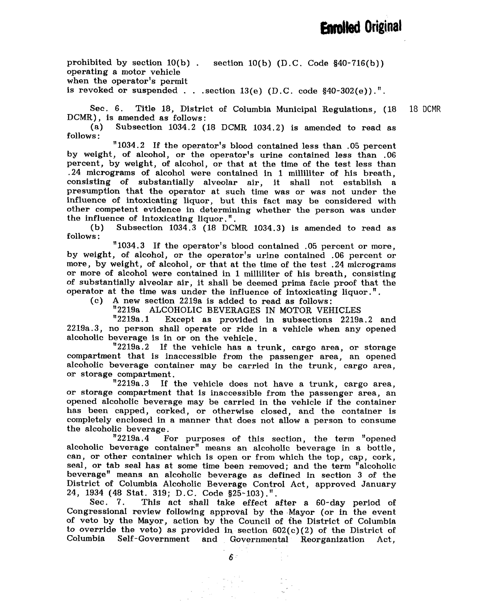prohibited by section 10(b) operating a motor vehicle when the operator's permit is revoked or suspended . . . section  $13(e)$  (D.C. code  $$40-302(e)$ ). section 10(b) (D.C. Code §40-716(b))

Sec. 6. Title 18, District of Columbia Municipal Regulations, (18 DCMR), is amended as follows: 18 DCMR

(a) Subsection 1034.2 (18 DCMR 1034.2) is amended to read as follows :

"1034.2 If the operator's blood contained less than .05 percent by weight, of alcohol, or the operator's urine contained less than .06 percent, by weight, of alcohol, or that at the time of the test less than .24 micrograms of alcohol were contained in 1 milliliter of his breath, consisting of substantially alveolar air, it shall not establish a presumption that the operator at such time was or was not under the influence of intoxicating liquor, but this fact may be considered with other competent evidence in determining whether the person was under the influence of intoxicating liquor."

(b) Subsection 1034.3 (18 DCMR 1034.3) is amended to read as follows :

"1034.3 If the operator's blood contained .05 percent or more, by weight, of alcohol, or the operator's urine contained .06 percent or more, by weight, of alcohol, or that at the time of the test .24 micrograms or more of alcohol were contained in 1 milliliter of his breath, consisting of substantially alveolar air, it shall be deemed prima facie proof that the operator at the time was under the influence of intoxicating liquor."

(c) A new section 2219a is added to read as follows:

"2219a ALCOHOLIC BEVERAGES IN MOTOR VEHICLES<br>"2219a.1 Except as provided in subsections 2219a

Except as provided in subsections 2219a.2 and 2219a.3, no person shall operate or ride in a vehicle when any opened alcoholic beverage is in or on the vehicle.

"2219a.2 If the vehicle has a trunk, cargo area, or storage compartment that is inaccessible from the passenger area, an opened alcoholic beverage container may be carried in the trunk, cargo area, or storage compartment.<br><sup>1</sup>2219a.3 If

If the vehicle does not have a trunk, cargo area, or storage compartment that is inaccessible from the passenger area, an opened alcoholic beverage may be carried in the vehicle if the container has been capped, corked, or otherwise closed, and the container is completely enclosed in a manner that does not allow a person to consume the alcoholic beverage.<br> $"2219a.4$  F

For purposes of this section, the term "opened alcoholic beverage container" means an alcoholic beverage in a bottle, can, or other container which is open or from which the top, cap, cork, seal, or tab seal has at some time been removed; and the term "alcoholic beverage" means an alcoholic beverage as defined in section 3 of the District of Columbia Alcoholic Beverage Control Act, approved January 24, 1934 (48 Stat. 319; D.C. Code §25-103).".<br>Sec. 7. This act shall take effect a

This act shall take effect after a 60-day period of Congressional review following approval by the .Mayor (or in the event of veto by the Mayor, action by the Council of the District of Columbia to override the veto) as provided in section  $602(c)(2)$  of the District of Columbia Self- Government and Governmental Reorganization Act,

 $\bar{\delta}$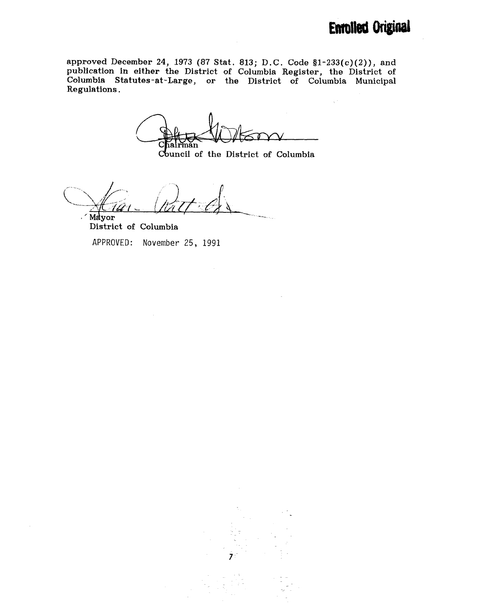$\chi^{(0)}$ 

approved December 24, 1973 (87 Stat. 813; D.C. Code §1-233(c)(2)), and publication in either the District of Columbia Register, the District of Columbia Statutes -at-Large, or the District of Columbia Municipal Regulations.

C iairman

Council of the District of Columbia

Mayor

District of Columbia

APPROVED: November 25, 1991